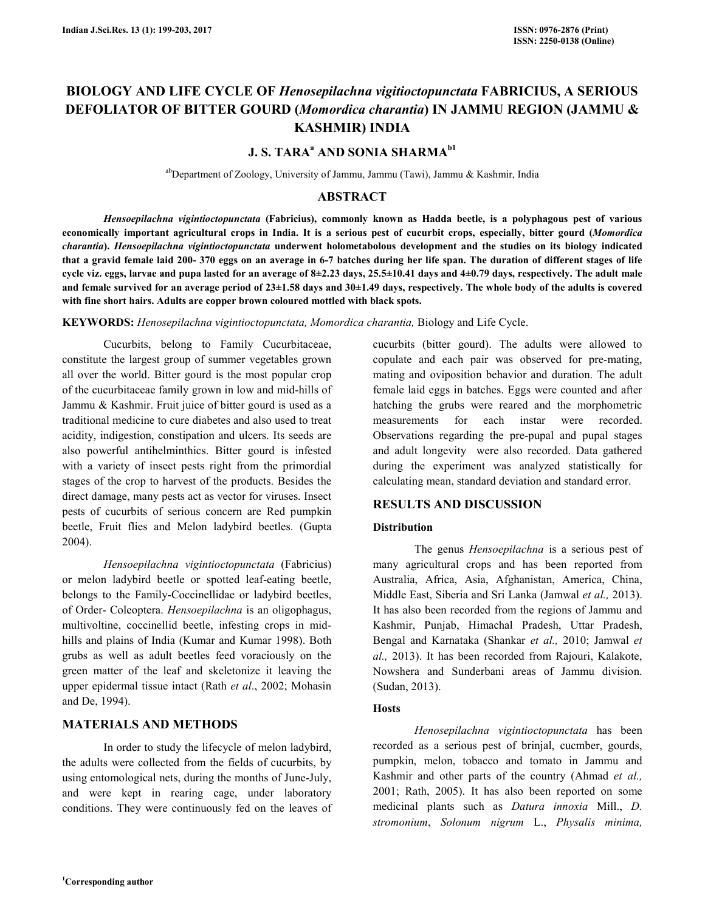# **BIOLOGY AND LIFE CYCLE OF** *Henosepilachna vigitioctopunctata* **FABRICIUS, A SERIOUS DEFOLIATOR OF BITTER GOURD (***Momordica charantia***) IN JAMMU REGION (JAMMU & KASHMIR) INDIA**

# **J. S. TARA<sup>a</sup> AND SONIA SHARMAb1**

abDepartment of Zoology, University of Jammu, Jammu (Tawi), Jammu & Kashmir, India

# **ABSTRACT**

 *Hensoepilachna vigintioctopunctata* **(Fabricius), commonly known as Hadda beetle, is a polyphagous pest of various economically important agricultural crops in India. It is a serious pest of cucurbit crops, especially, bitter gourd (***Momordica charantia***).** *Hensoepilachna vigintioctopunctata* **underwent holometabolous development and the studies on its biology indicated that a gravid female laid 200- 370 eggs on an average in 6-7 batches during her life span. The duration of different stages of life cycle viz. eggs, larvae and pupa lasted for an average of 8±2.23 days, 25.5±10.41 days and 4±0.79 days, respectively. The adult male and female survived for an average period of 23±1.58 days and 30±1.49 days, respectively. The whole body of the adults is covered with fine short hairs. Adults are copper brown coloured mottled with black spots.** 

**KEYWORDS:** *Henosepilachna vigintioctopunctata, Momordica charantia,* Biology and Life Cycle.

 Cucurbits, belong to Family Cucurbitaceae, constitute the largest group of summer vegetables grown all over the world. Bitter gourd is the most popular crop of the cucurbitaceae family grown in low and mid-hills of Jammu & Kashmir. Fruit juice of bitter gourd is used as a traditional medicine to cure diabetes and also used to treat acidity, indigestion, constipation and ulcers. Its seeds are also powerful antihelminthics. Bitter gourd is infested with a variety of insect pests right from the primordial stages of the crop to harvest of the products. Besides the direct damage, many pests act as vector for viruses. Insect pests of cucurbits of serious concern are Red pumpkin beetle, Fruit flies and Melon ladybird beetles. (Gupta 2004).

 *Hensoepilachna vigintioctopunctata* (Fabricius) or melon ladybird beetle or spotted leaf-eating beetle, belongs to the Family-Coccinellidae or ladybird beetles, of Order- Coleoptera. *Hensoepilachna* is an oligophagus, multivoltine, coccinellid beetle, infesting crops in midhills and plains of India (Kumar and Kumar 1998). Both grubs as well as adult beetles feed voraciously on the green matter of the leaf and skeletonize it leaving the upper epidermal tissue intact (Rath *et al*., 2002; Mohasin and De, 1994).

# **MATERIALS AND METHODS**

 In order to study the lifecycle of melon ladybird, the adults were collected from the fields of cucurbits, by using entomological nets, during the months of June-July, and were kept in rearing cage, under laboratory conditions. They were continuously fed on the leaves of

cucurbits (bitter gourd). The adults were allowed to copulate and each pair was observed for pre-mating, mating and oviposition behavior and duration. The adult female laid eggs in batches. Eggs were counted and after hatching the grubs were reared and the morphometric measurements for each instar were recorded. Observations regarding the pre-pupal and pupal stages and adult longevity were also recorded. Data gathered during the experiment was analyzed statistically for calculating mean, standard deviation and standard error.

#### **RESULTS AND DISCUSSION**

#### **Distribution**

 The genus *Hensoepilachna* is a serious pest of many agricultural crops and has been reported from Australia, Africa, Asia, Afghanistan, America, China, Middle East, Siberia and Sri Lanka (Jamwal *et al.,* 2013). It has also been recorded from the regions of Jammu and Kashmir, Punjab, Himachal Pradesh, Uttar Pradesh, Bengal and Karnataka (Shankar *et al.,* 2010; Jamwal *et al.,* 2013). It has been recorded from Rajouri, Kalakote, Nowshera and Sunderbani areas of Jammu division. (Sudan, 2013).

### **Hosts**

 *Henosepilachna vigintioctopunctata* has been recorded as a serious pest of brinjal, cucmber, gourds, pumpkin, melon, tobacco and tomato in Jammu and Kashmir and other parts of the country (Ahmad *et al.,*  2001; Rath, 2005). It has also been reported on some medicinal plants such as *Datura innoxia* Mill., *D. stromonium*, *Solonum nigrum* L., *Physalis minima,*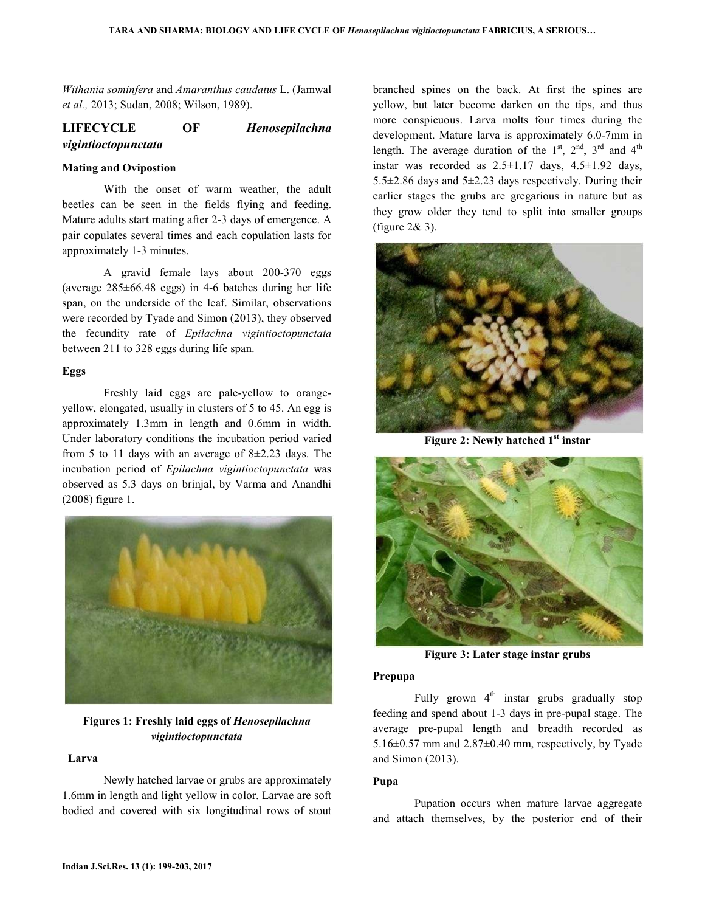*Withania sominfera* and *Amaranthus caudatus* L. (Jamwal *et al.,* 2013; Sudan, 2008; Wilson, 1989).

# **LIFECYCLE OF** *Henosepilachna vigintioctopunctata*

#### **Mating and Ovipostion**

 With the onset of warm weather, the adult beetles can be seen in the fields flying and feeding. Mature adults start mating after 2-3 days of emergence. A pair copulates several times and each copulation lasts for approximately 1-3 minutes.

 A gravid female lays about 200-370 eggs (average 285±66.48 eggs) in 4-6 batches during her life span, on the underside of the leaf. Similar, observations were recorded by Tyade and Simon (2013), they observed the fecundity rate of *Epilachna vigintioctopunctata*  between 211 to 328 eggs during life span.

#### **Eggs**

 Freshly laid eggs are pale-yellow to orangeyellow, elongated, usually in clusters of 5 to 45. An egg is approximately 1.3mm in length and 0.6mm in width. Under laboratory conditions the incubation period varied from 5 to 11 days with an average of 8±2.23 days. The incubation period of *Epilachna vigintioctopunctata* was observed as 5.3 days on brinjal, by Varma and Anandhi (2008) figure 1.



**Figures 1: Freshly laid eggs of** *Henosepilachna vigintioctopunctata*

# **Larva**

 Newly hatched larvae or grubs are approximately 1.6mm in length and light yellow in color. Larvae are soft bodied and covered with six longitudinal rows of stout branched spines on the back. At first the spines are yellow, but later become darken on the tips, and thus more conspicuous. Larva molts four times during the development. Mature larva is approximately 6.0-7mm in length. The average duration of the  $1<sup>st</sup>$ ,  $2<sup>nd</sup>$ ,  $3<sup>rd</sup>$  and  $4<sup>th</sup>$ instar was recorded as  $2.5 \pm 1.17$  days,  $4.5 \pm 1.92$  days, 5.5 $\pm$ 2.86 days and 5 $\pm$ 2.23 days respectively. During their earlier stages the grubs are gregarious in nature but as they grow older they tend to split into smaller groups (figure 2& 3).



**Figure 2: Newly hatched 1st instar** 



**Figure 3: Later stage instar grubs**

#### **Prepupa**

Fully grown  $4<sup>th</sup>$  instar grubs gradually stop feeding and spend about 1-3 days in pre-pupal stage. The average pre-pupal length and breadth recorded as 5.16 $\pm$ 0.57 mm and 2.87 $\pm$ 0.40 mm, respectively, by Tyade and Simon (2013).

#### **Pupa**

 Pupation occurs when mature larvae aggregate and attach themselves, by the posterior end of their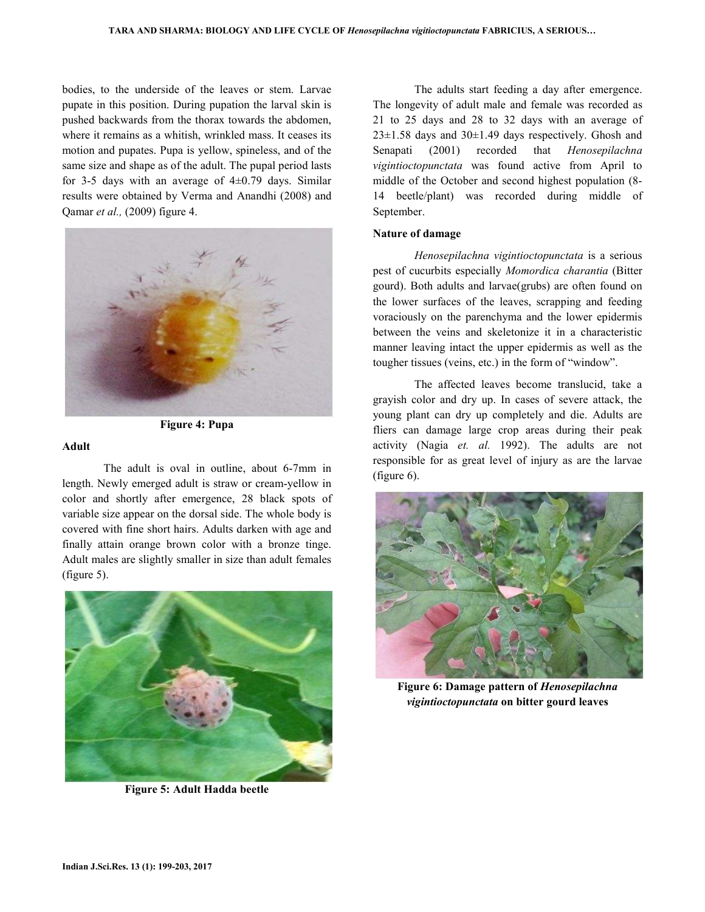bodies, to the underside of the leaves or stem. Larvae pupate in this position. During pupation the larval skin is pushed backwards from the thorax towards the abdomen, where it remains as a whitish, wrinkled mass. It ceases its motion and pupates. Pupa is yellow, spineless, and of the same size and shape as of the adult. The pupal period lasts for 3-5 days with an average of  $4\pm 0.79$  days. Similar results were obtained by Verma and Anandhi (2008) and Qamar *et al.,* (2009) figure 4.





#### **Adult**

 The adult is oval in outline, about 6-7mm in length. Newly emerged adult is straw or cream-yellow in color and shortly after emergence, 28 black spots of variable size appear on the dorsal side. The whole body is covered with fine short hairs. Adults darken with age and finally attain orange brown color with a bronze tinge. Adult males are slightly smaller in size than adult females (figure 5).



**Figure 5: Adult Hadda beetle**

 The adults start feeding a day after emergence. The longevity of adult male and female was recorded as 21 to 25 days and 28 to 32 days with an average of  $23\pm1.58$  days and  $30\pm1.49$  days respectively. Ghosh and Senapati (2001) recorded that *Henosepilachna vigintioctopunctata* was found active from April to middle of the October and second highest population (8- 14 beetle/plant) was recorded during middle of September.

#### **Nature of damage**

 *Henosepilachna vigintioctopunctata* is a serious pest of cucurbits especially *Momordica charantia* (Bitter gourd). Both adults and larvae(grubs) are often found on the lower surfaces of the leaves, scrapping and feeding voraciously on the parenchyma and the lower epidermis between the veins and skeletonize it in a characteristic manner leaving intact the upper epidermis as well as the tougher tissues (veins, etc.) in the form of "window".

 The affected leaves become translucid, take a grayish color and dry up. In cases of severe attack, the young plant can dry up completely and die. Adults are fliers can damage large crop areas during their peak activity (Nagia *et. al.* 1992). The adults are not responsible for as great level of injury as are the larvae (figure 6).



**Figure 6: Damage pattern of** *Henosepilachna vigintioctopunctata* **on bitter gourd leaves**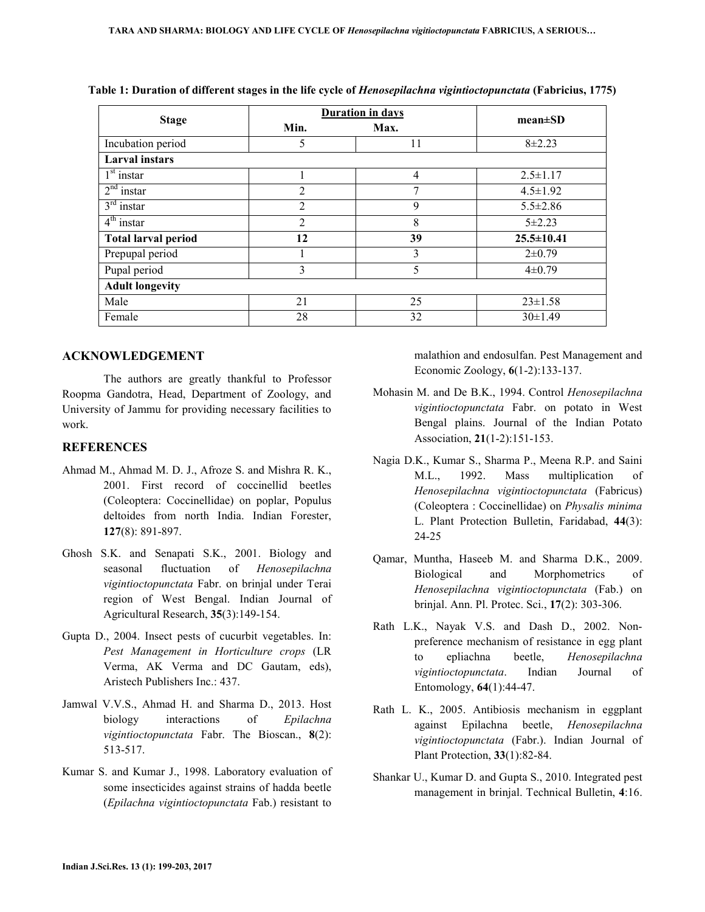| <b>Stage</b>               | Duration in days |                | $mean \pm SD$    |
|----------------------------|------------------|----------------|------------------|
|                            | Min.             | Max.           |                  |
| Incubation period          | 5                | 11             | $8 + 2.23$       |
| <b>Larval</b> instars      |                  |                |                  |
| $1st$ instar               |                  | $\overline{4}$ | $2.5 \pm 1.17$   |
| $2nd$ instar               | $\overline{2}$   | 7              | $4.5 \pm 1.92$   |
| $3rd$ instar               | $\overline{2}$   | 9              | $5.5 \pm 2.86$   |
| $4th$ instar               | $\overline{2}$   | 8              | $5 + 2.23$       |
| <b>Total larval period</b> | 12               | 39             | $25.5 \pm 10.41$ |
| Prepupal period            |                  | 3              | $2\pm 0.79$      |
| Pupal period               | 3                | 5              | $4\pm 0.79$      |
| <b>Adult longevity</b>     |                  |                |                  |
| Male                       | 21               | 25             | $23 \pm 1.58$    |
| Female                     | 28               | 32             | $30\pm1.49$      |

**Table 1: Duration of different stages in the life cycle of** *Henosepilachna vigintioctopunctata* **(Fabricius, 1775)** 

### **ACKNOWLEDGEMENT**

 The authors are greatly thankful to Professor Roopma Gandotra, Head, Department of Zoology, and University of Jammu for providing necessary facilities to work.

### **REFERENCES**

- Ahmad M., Ahmad M. D. J., Afroze S. and Mishra R. K., 2001. First record of coccinellid beetles (Coleoptera: Coccinellidae) on poplar, Populus deltoides from north India. Indian Forester, **127**(8): 891-897.
- Ghosh S.K. and Senapati S.K., 2001. Biology and seasonal fluctuation of *Henosepilachna vigintioctopunctata* Fabr. on brinjal under Terai region of West Bengal. Indian Journal of Agricultural Research, **35**(3):149-154.
- Gupta D., 2004. Insect pests of cucurbit vegetables. In: *Pest Management in Horticulture crops* (LR Verma, AK Verma and DC Gautam, eds), Aristech Publishers Inc.: 437.
- Jamwal V.V.S., Ahmad H. and Sharma D., 2013. Host biology interactions of *Epilachna vigintioctopunctata* Fabr. The Bioscan., **8**(2): 513-517.
- Kumar S. and Kumar J., 1998. Laboratory evaluation of some insecticides against strains of hadda beetle (*Epilachna vigintioctopunctata* Fab.) resistant to

malathion and endosulfan. Pest Management and Economic Zoology, **6**(1-2):133-137.

- Mohasin M. and De B.K., 1994. Control *Henosepilachna vigintioctopunctata* Fabr. on potato in West Bengal plains. Journal of the Indian Potato Association, **21**(1-2):151-153.
- Nagia D.K., Kumar S., Sharma P., Meena R.P. and Saini M.L., 1992. Mass multiplication of *Henosepilachna vigintioctopunctata* (Fabricus) (Coleoptera : Coccinellidae) on *Physalis minima* L. Plant Protection Bulletin, Faridabad, **44**(3): 24-25
- Qamar, Muntha, Haseeb M. and Sharma D.K., 2009. Biological and Morphometrics of *Henosepilachna vigintioctopunctata* (Fab.) on brinjal. Ann. Pl. Protec. Sci., **17**(2): 303-306.
- Rath L.K., Nayak V.S. and Dash D., 2002. Nonpreference mechanism of resistance in egg plant to epliachna beetle, *Henosepilachna vigintioctopunctata*. Indian Journal of Entomology, **64**(1):44-47.
- Rath L. K., 2005. Antibiosis mechanism in eggplant against Epilachna beetle, *Henosepilachna vigintioctopunctata* (Fabr.). Indian Journal of Plant Protection, **33**(1):82-84.
- Shankar U., Kumar D. and Gupta S., 2010. Integrated pest management in brinjal. Technical Bulletin, **4**:16.